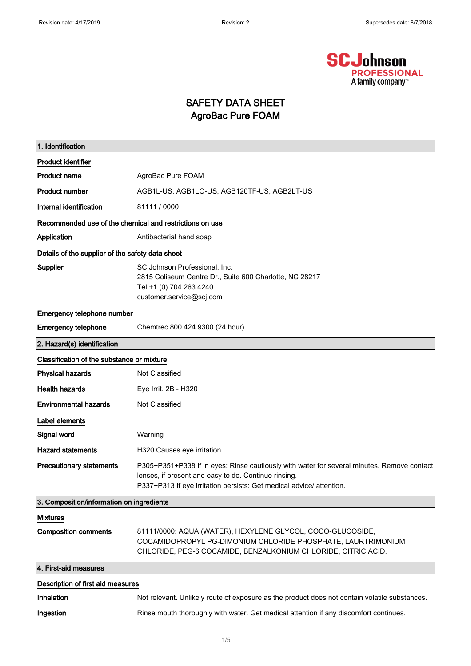

#### SAFETY DATA SHEET AgroBac Pure FOAM

| 1. Identification                                       |                                                                                                                                                                                                                            |  |
|---------------------------------------------------------|----------------------------------------------------------------------------------------------------------------------------------------------------------------------------------------------------------------------------|--|
| <b>Product identifier</b>                               |                                                                                                                                                                                                                            |  |
| <b>Product name</b>                                     | AgroBac Pure FOAM                                                                                                                                                                                                          |  |
| <b>Product number</b>                                   | AGB1L-US, AGB1LO-US, AGB120TF-US, AGB2LT-US                                                                                                                                                                                |  |
| Internal identification                                 | 81111 / 0000                                                                                                                                                                                                               |  |
| Recommended use of the chemical and restrictions on use |                                                                                                                                                                                                                            |  |
| Application                                             | Antibacterial hand soap                                                                                                                                                                                                    |  |
| Details of the supplier of the safety data sheet        |                                                                                                                                                                                                                            |  |
| Supplier                                                | SC Johnson Professional, Inc.<br>2815 Coliseum Centre Dr., Suite 600 Charlotte, NC 28217<br>Tel:+1 (0) 704 263 4240<br>customer.service@scj.com                                                                            |  |
| Emergency telephone number                              |                                                                                                                                                                                                                            |  |
| <b>Emergency telephone</b>                              | Chemtrec 800 424 9300 (24 hour)                                                                                                                                                                                            |  |
| 2. Hazard(s) identification                             |                                                                                                                                                                                                                            |  |
| Classification of the substance or mixture              |                                                                                                                                                                                                                            |  |
| <b>Physical hazards</b>                                 | Not Classified                                                                                                                                                                                                             |  |
| <b>Health hazards</b>                                   | Eye Irrit. 2B - H320                                                                                                                                                                                                       |  |
| <b>Environmental hazards</b>                            | Not Classified                                                                                                                                                                                                             |  |
| Label elements                                          |                                                                                                                                                                                                                            |  |
| Signal word                                             | Warning                                                                                                                                                                                                                    |  |
| <b>Hazard statements</b>                                | H320 Causes eye irritation.                                                                                                                                                                                                |  |
| <b>Precautionary statements</b>                         | P305+P351+P338 If in eyes: Rinse cautiously with water for several minutes. Remove contact<br>lenses, if present and easy to do. Continue rinsing.<br>P337+P313 If eye irritation persists: Get medical advice/ attention. |  |
| 3. Composition/information on ingredients               |                                                                                                                                                                                                                            |  |
| <b>Mixtures</b>                                         |                                                                                                                                                                                                                            |  |
| <b>Composition comments</b>                             | 81111/0000: AQUA (WATER), HEXYLENE GLYCOL, COCO-GLUCOSIDE,<br>COCAMIDOPROPYL PG-DIMONIUM CHLORIDE PHOSPHATE, LAURTRIMONIUM<br>CHLORIDE, PEG-6 COCAMIDE, BENZALKONIUM CHLORIDE, CITRIC ACID.                                |  |
| 4. First-aid measures                                   |                                                                                                                                                                                                                            |  |
| Description of first aid measures                       |                                                                                                                                                                                                                            |  |
| <b>Inhalation</b>                                       | Not relevant. Unlikely route of exposure as the product does not contain volatile substances.                                                                                                                              |  |
| Ingestion                                               | Rinse mouth thoroughly with water. Get medical attention if any discomfort continues.                                                                                                                                      |  |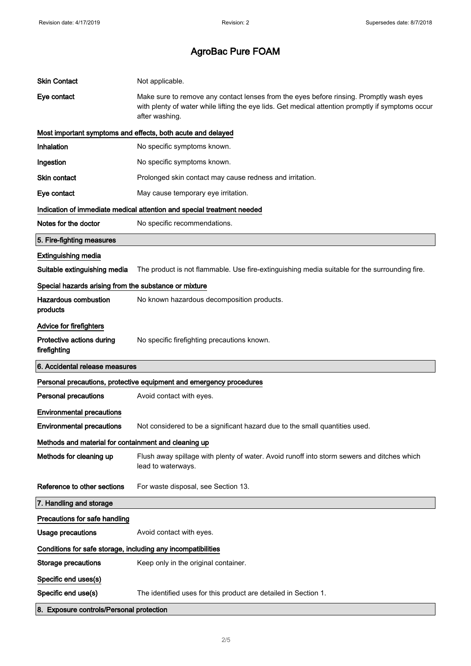| <b>Skin Contact</b>                                          | Not applicable.                                                                                                                                                                                                |  |
|--------------------------------------------------------------|----------------------------------------------------------------------------------------------------------------------------------------------------------------------------------------------------------------|--|
| Eye contact                                                  | Make sure to remove any contact lenses from the eyes before rinsing. Promptly wash eyes<br>with plenty of water while lifting the eye lids. Get medical attention promptly if symptoms occur<br>after washing. |  |
|                                                              | Most important symptoms and effects, both acute and delayed                                                                                                                                                    |  |
| <b>Inhalation</b>                                            | No specific symptoms known.                                                                                                                                                                                    |  |
| Ingestion                                                    | No specific symptoms known.                                                                                                                                                                                    |  |
| Skin contact                                                 | Prolonged skin contact may cause redness and irritation.                                                                                                                                                       |  |
| Eye contact                                                  | May cause temporary eye irritation.                                                                                                                                                                            |  |
|                                                              | Indication of immediate medical attention and special treatment needed                                                                                                                                         |  |
| Notes for the doctor                                         | No specific recommendations.                                                                                                                                                                                   |  |
| 5. Fire-fighting measures                                    |                                                                                                                                                                                                                |  |
| <b>Extinguishing media</b>                                   |                                                                                                                                                                                                                |  |
| Suitable extinguishing media                                 | The product is not flammable. Use fire-extinguishing media suitable for the surrounding fire.                                                                                                                  |  |
| Special hazards arising from the substance or mixture        |                                                                                                                                                                                                                |  |
| <b>Hazardous combustion</b><br>products                      | No known hazardous decomposition products.                                                                                                                                                                     |  |
| Advice for firefighters                                      |                                                                                                                                                                                                                |  |
| Protective actions during<br>firefighting                    | No specific firefighting precautions known.                                                                                                                                                                    |  |
| 6. Accidental release measures                               |                                                                                                                                                                                                                |  |
|                                                              | Personal precautions, protective equipment and emergency procedures                                                                                                                                            |  |
| <b>Personal precautions</b>                                  | Avoid contact with eyes.                                                                                                                                                                                       |  |
| <b>Environmental precautions</b>                             |                                                                                                                                                                                                                |  |
| <b>Environmental precautions</b>                             | Not considered to be a significant hazard due to the small quantities used.                                                                                                                                    |  |
| Methods and material for containment and cleaning up         |                                                                                                                                                                                                                |  |
| Methods for cleaning up                                      | Flush away spillage with plenty of water. Avoid runoff into storm sewers and ditches which<br>lead to waterways.                                                                                               |  |
| Reference to other sections                                  | For waste disposal, see Section 13.                                                                                                                                                                            |  |
| 7. Handling and storage                                      |                                                                                                                                                                                                                |  |
| Precautions for safe handling                                |                                                                                                                                                                                                                |  |
| <b>Usage precautions</b>                                     | Avoid contact with eyes.                                                                                                                                                                                       |  |
| Conditions for safe storage, including any incompatibilities |                                                                                                                                                                                                                |  |
| <b>Storage precautions</b>                                   | Keep only in the original container.                                                                                                                                                                           |  |
| Specific end uses(s)                                         |                                                                                                                                                                                                                |  |
| Specific end use(s)                                          | The identified uses for this product are detailed in Section 1.                                                                                                                                                |  |
| 8. Exposure controls/Personal protection                     |                                                                                                                                                                                                                |  |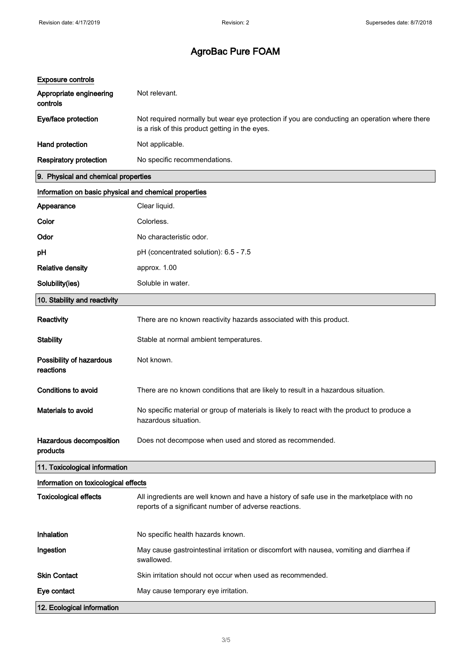| <b>Exposure controls</b>                              |                                                                                                                                                   |
|-------------------------------------------------------|---------------------------------------------------------------------------------------------------------------------------------------------------|
| Appropriate engineering<br>controls                   | Not relevant.                                                                                                                                     |
| Eye/face protection                                   | Not required normally but wear eye protection if you are conducting an operation where there<br>is a risk of this product getting in the eyes.    |
| Hand protection                                       | Not applicable.                                                                                                                                   |
| <b>Respiratory protection</b>                         | No specific recommendations.                                                                                                                      |
| 9. Physical and chemical properties                   |                                                                                                                                                   |
| Information on basic physical and chemical properties |                                                                                                                                                   |
| Appearance                                            | Clear liquid.                                                                                                                                     |
| Color                                                 | Colorless.                                                                                                                                        |
| Odor                                                  | No characteristic odor.                                                                                                                           |
| рH                                                    | pH (concentrated solution): 6.5 - 7.5                                                                                                             |
| <b>Relative density</b>                               | approx. 1.00                                                                                                                                      |
| Solubility(ies)                                       | Soluble in water.                                                                                                                                 |
| 10. Stability and reactivity                          |                                                                                                                                                   |
| Reactivity                                            | There are no known reactivity hazards associated with this product.                                                                               |
| <b>Stability</b>                                      | Stable at normal ambient temperatures.                                                                                                            |
| Possibility of hazardous<br>reactions                 | Not known.                                                                                                                                        |
| <b>Conditions to avoid</b>                            | There are no known conditions that are likely to result in a hazardous situation.                                                                 |
| <b>Materials to avoid</b>                             | No specific material or group of materials is likely to react with the product to produce a<br>hazardous situation.                               |
| Hazardous decomposition<br>products                   | Does not decompose when used and stored as recommended.                                                                                           |
| 11. Toxicological information                         |                                                                                                                                                   |
| Information on toxicological effects                  |                                                                                                                                                   |
| <b>Toxicological effects</b>                          | All ingredients are well known and have a history of safe use in the marketplace with no<br>reports of a significant number of adverse reactions. |
| Inhalation                                            | No specific health hazards known.                                                                                                                 |
| Ingestion                                             | May cause gastrointestinal irritation or discomfort with nausea, vomiting and diarrhea if<br>swallowed.                                           |
| <b>Skin Contact</b>                                   | Skin irritation should not occur when used as recommended.                                                                                        |
| Eye contact                                           | May cause temporary eye irritation.                                                                                                               |
| 12. Ecological information                            |                                                                                                                                                   |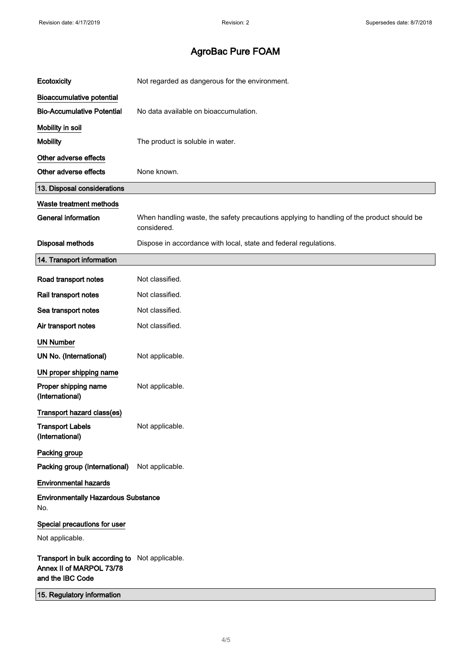| Ecotoxicity                                                                                    | Not regarded as dangerous for the environment.                                                           |
|------------------------------------------------------------------------------------------------|----------------------------------------------------------------------------------------------------------|
| <b>Bioaccumulative potential</b>                                                               |                                                                                                          |
| <b>Bio-Accumulative Potential</b>                                                              | No data available on bioaccumulation.                                                                    |
| Mobility in soil                                                                               |                                                                                                          |
| <b>Mobility</b>                                                                                | The product is soluble in water.                                                                         |
| Other adverse effects                                                                          |                                                                                                          |
| Other adverse effects                                                                          | None known.                                                                                              |
| 13. Disposal considerations                                                                    |                                                                                                          |
| Waste treatment methods                                                                        |                                                                                                          |
| <b>General information</b>                                                                     | When handling waste, the safety precautions applying to handling of the product should be<br>considered. |
| <b>Disposal methods</b>                                                                        | Dispose in accordance with local, state and federal regulations.                                         |
| 14. Transport information                                                                      |                                                                                                          |
| Road transport notes                                                                           | Not classified.                                                                                          |
| Rail transport notes                                                                           | Not classified.                                                                                          |
| Sea transport notes                                                                            | Not classified.                                                                                          |
| Air transport notes                                                                            | Not classified.                                                                                          |
| <b>UN Number</b>                                                                               |                                                                                                          |
| UN No. (International)                                                                         | Not applicable.                                                                                          |
| UN proper shipping name                                                                        |                                                                                                          |
| Proper shipping name<br>(International)                                                        | Not applicable.                                                                                          |
| Transport hazard class(es)                                                                     |                                                                                                          |
| <b>Transport Labels</b><br>(International)                                                     | Not applicable.                                                                                          |
| Packing group                                                                                  |                                                                                                          |
| Packing group (International)                                                                  | Not applicable.                                                                                          |
| <b>Environmental hazards</b>                                                                   |                                                                                                          |
| <b>Environmentally Hazardous Substance</b><br>No.                                              |                                                                                                          |
| Special precautions for user                                                                   |                                                                                                          |
| Not applicable.                                                                                |                                                                                                          |
| Transport in bulk according to Not applicable.<br>Annex II of MARPOL 73/78<br>and the IBC Code |                                                                                                          |
| 15. Regulatory information                                                                     |                                                                                                          |